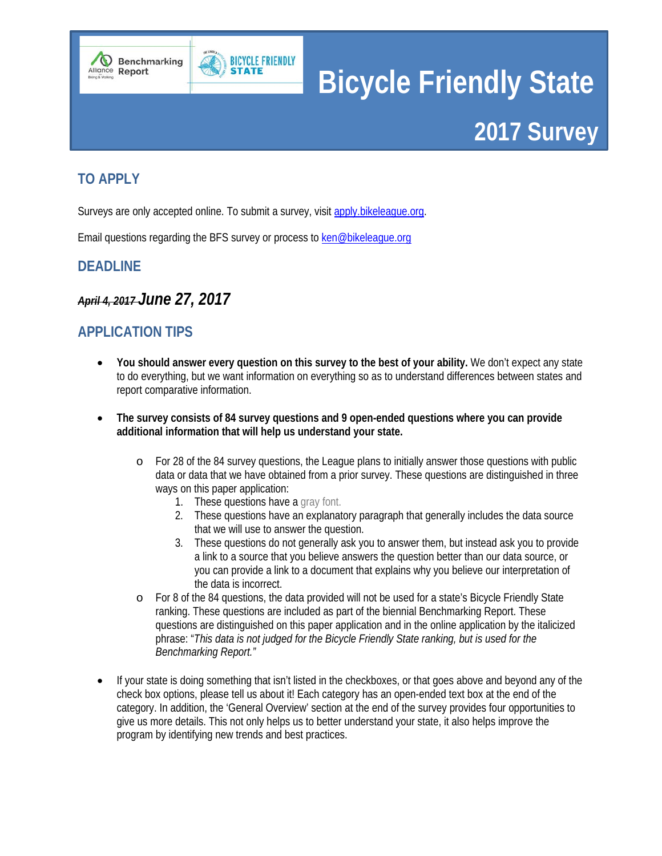



# <span id="page-0-0"></span>**TO APPLY**

Surveys are only accepted online. To submit a survey, visit apply.bikeleague.org.

Email questions regarding the BFS survey or process to ken@bikeleague.org

# <span id="page-0-1"></span>**DEADLINE**

*April 4, 2017 June 27, 2017*

# <span id="page-0-2"></span>**APPLICATION TIPS**

- **You should answer every question on this survey to the best of your ability.** We don't expect any state to do everything, but we want information on everything so as to understand differences between states and report comparative information.
- **The survey consists of 84 survey questions and 9 open-ended questions where you can provide additional information that will help us understand your state.** 
	- o For 28 of the 84 survey questions, the League plans to initially answer those questions with public data or data that we have obtained from a prior survey. These questions are distinguished in three ways on this paper application:
		- 1. These questions have a gray font.
		- 2. These questions have an explanatory paragraph that generally includes the data source that we will use to answer the question.
		- 3. These questions do not generally ask you to answer them, but instead ask you to provide a link to a source that you believe answers the question better than our data source, or you can provide a link to a document that explains why you believe our interpretation of the data is incorrect.
	- o For 8 of the 84 questions, the data provided will not be used for a state's Bicycle Friendly State ranking. These questions are included as part of the biennial Benchmarking Report. These questions are distinguished on this paper application and in the online application by the italicized phrase: "*This data is not judged for the Bicycle Friendly State ranking, but is used for the Benchmarking Report."*
- If your state is doing something that isn't listed in the checkboxes, or that goes above and beyond any of the check box options, please tell us about it! Each category has an open-ended text box at the end of the category. In addition, the 'General Overview' section at the end of the survey provides four opportunities to give us more details. This not only helps us to better understand your state, it also helps improve the program by identifying new trends and best practices.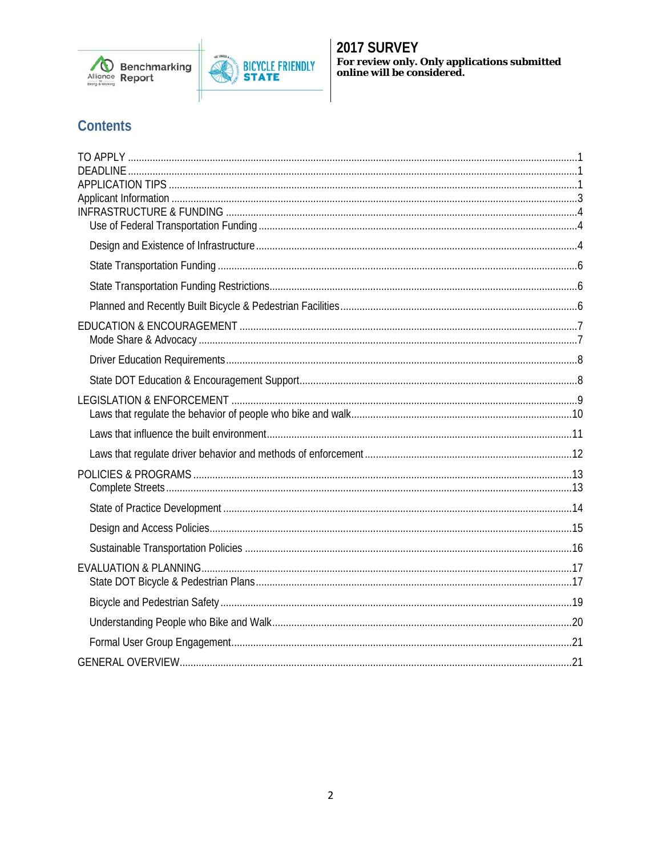



# **Contents**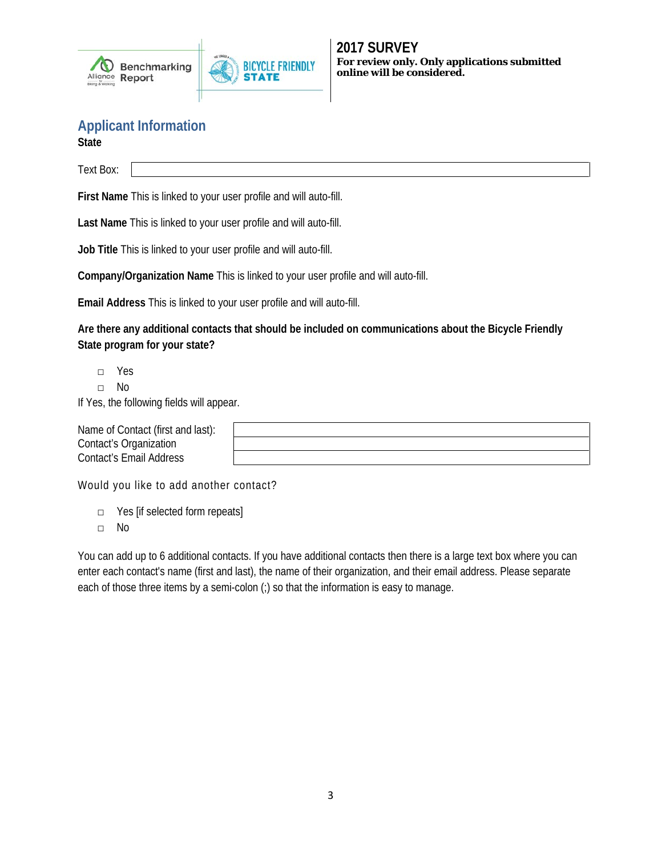



<span id="page-2-0"></span>**Applicant Information**

**State**

Text Box:

**First Name** This is linked to your user profile and will auto-fill.

**Last Name** This is linked to your user profile and will auto-fill.

**Job Title** This is linked to your user profile and will auto-fill.

**Company/Organization Name** This is linked to your user profile and will auto-fill.

**Email Address** This is linked to your user profile and will auto-fill.

**Are there any additional contacts that should be included on communications about the Bicycle Friendly State program for your state?**

□ Yes

□ No

If Yes, the following fields will appear.

| Name of Contact (first and last): |  |
|-----------------------------------|--|
| Contact's Organization            |  |
| Contact's Email Address           |  |

Would you like to add another contact?

- □ Yes [if selected form repeats]
- □ No

You can add up to 6 additional contacts. If you have additional contacts then there is a large text box where you can enter each contact's name (first and last), the name of their organization, and their email address. Please separate each of those three items by a semi-colon (;) so that the information is easy to manage.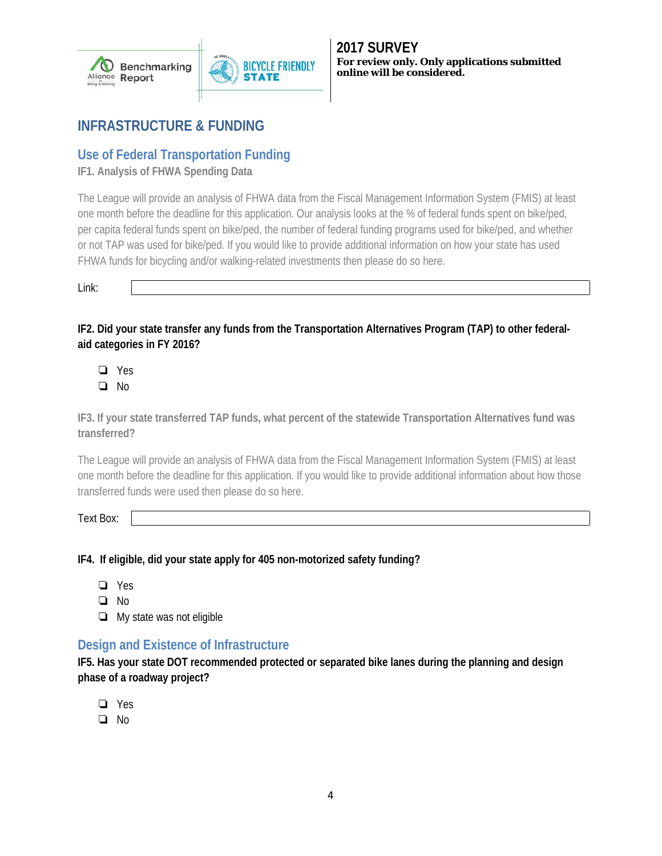

# <span id="page-3-0"></span>**INFRASTRUCTURE & FUNDING**

# <span id="page-3-1"></span>**Use of Federal Transportation Funding**

**IF1. Analysis of FHWA Spending Data**

The League will provide an analysis of FHWA data from the Fiscal Management Information System (FMIS) at least one month before the deadline for this application. Our analysis looks at the % of federal funds spent on bike/ped, per capita federal funds spent on bike/ped, the number of federal funding programs used for bike/ped, and whether or not TAP was used for bike/ped. If you would like to provide additional information on how your state has used FHWA funds for bicycling and/or walking-related investments then please do so here.

Link:

**IF2. Did your state transfer any funds from the Transportation Alternatives Program (TAP) to other federalaid categories in FY 2016?**

❏ Yes

❏ No

**IF3. If your state transferred TAP funds, what percent of the statewide Transportation Alternatives fund was transferred?**

The League will provide an analysis of FHWA data from the Fiscal Management Information System (FMIS) at least one month before the deadline for this application. If you would like to provide additional information about how those transferred funds were used then please do so here.

Text Box:

**IF4. If eligible, did your state apply for 405 non-motorized safety funding?**

- ❏ Yes
- ❏ No
- ❏ My state was not eligible

## <span id="page-3-2"></span>**Design and Existence of Infrastructure**

**IF5. Has your state DOT recommended protected or separated bike lanes during the planning and design phase of a roadway project?**

- ❏ Yes
- ❏ No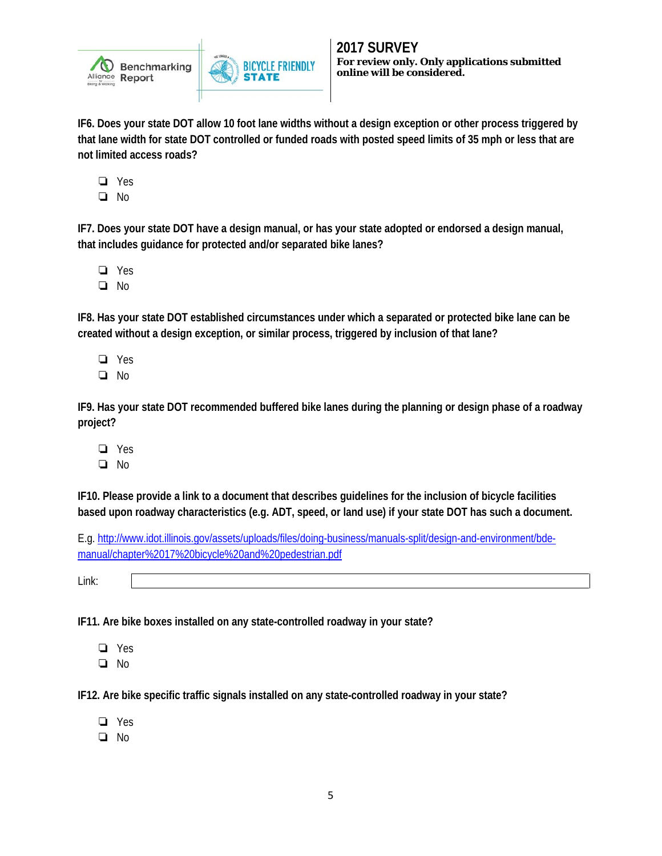

**IF6. Does your state DOT allow 10 foot lane widths without a design exception or other process triggered by that lane width for state DOT controlled or funded roads with posted speed limits of 35 mph or less that are not limited access roads?**

**BICYCLE FRIENDLY** 

❏ Yes

❏ No

**IF7. Does your state DOT have a design manual, or has your state adopted or endorsed a design manual, that includes guidance for protected and/or separated bike lanes?**

- ❏ Yes
- ❏ No

**IF8. Has your state DOT established circumstances under which a separated or protected bike lane can be created without a design exception, or similar process, triggered by inclusion of that lane?**

- ❏ Yes
- ❏ No

**IF9. Has your state DOT recommended buffered bike lanes during the planning or design phase of a roadway project?**

- ❏ Yes
- ❏ No

**IF10. Please provide a link to a document that describes guidelines for the inclusion of bicycle facilities based upon roadway characteristics (e.g. ADT, speed, or land use) if your state DOT has such a document.**

E.g[. http://www.idot.illinois.gov/assets/uploads/files/doing-business/manuals-split/design-and-environment/bde](http://www.idot.illinois.gov/assets/uploads/files/doing-business/manuals-split/design-and-environment/bde-manual/chapter%2017%20bicycle%20and%20pedestrian.pdf)[manual/chapter%2017%20bicycle%20and%20pedestrian.pdf](http://www.idot.illinois.gov/assets/uploads/files/doing-business/manuals-split/design-and-environment/bde-manual/chapter%2017%20bicycle%20and%20pedestrian.pdf)

Link:

**IF11. Are bike boxes installed on any state-controlled roadway in your state?** 

- ❏ Yes
- ❏ No

**IF12. Are bike specific traffic signals installed on any state-controlled roadway in your state?**

- ❏ Yes
- ❏ No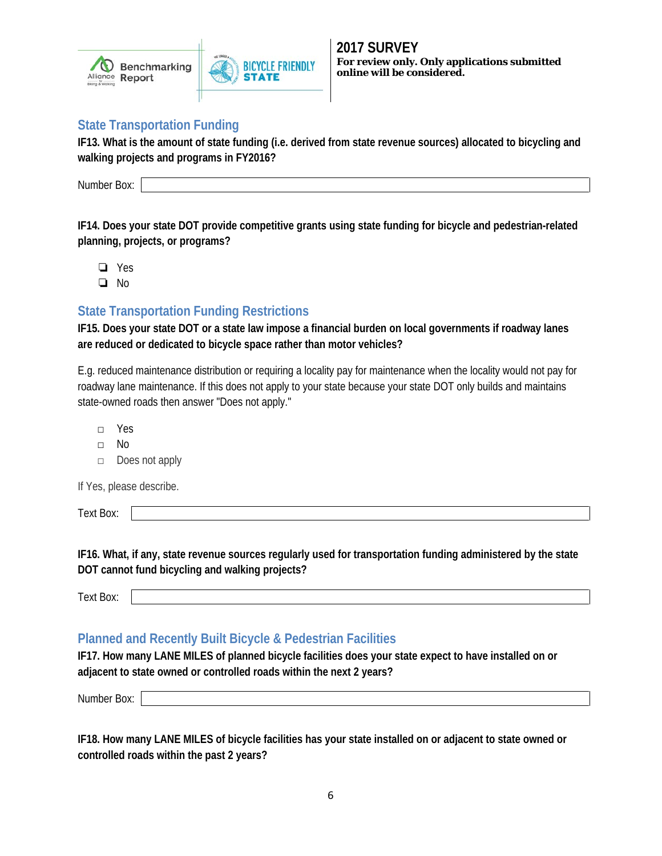



### <span id="page-5-0"></span>**State Transportation Funding**

**IF13. What is the amount of state funding (i.e. derived from state revenue sources) allocated to bicycling and walking projects and programs in FY2016?**

**BICYCLE FRIENDLY** 

Number Box:

**IF14. Does your state DOT provide competitive grants using state funding for bicycle and pedestrian-related planning, projects, or programs?**

- ❏ Yes
- ❏ No

# <span id="page-5-1"></span>**State Transportation Funding Restrictions**

**IF15. Does your state DOT or a state law impose a financial burden on local governments if roadway lanes are reduced or dedicated to bicycle space rather than motor vehicles?**

E.g. reduced maintenance distribution or requiring a locality pay for maintenance when the locality would not pay for roadway lane maintenance. If this does not apply to your state because your state DOT only builds and maintains state-owned roads then answer "Does not apply."

- □ Yes
- □ No
- □ Does not apply

If Yes, please describe.

Text Box:

**IF16. What, if any, state revenue sources regularly used for transportation funding administered by the state DOT cannot fund bicycling and walking projects?**

### <span id="page-5-2"></span>**Planned and Recently Built Bicycle & Pedestrian Facilities**

**IF17. How many LANE MILES of planned bicycle facilities does your state expect to have installed on or adjacent to state owned or controlled roads within the next 2 years?**

Number Box:

**IF18. How many LANE MILES of bicycle facilities has your state installed on or adjacent to state owned or controlled roads within the past 2 years?**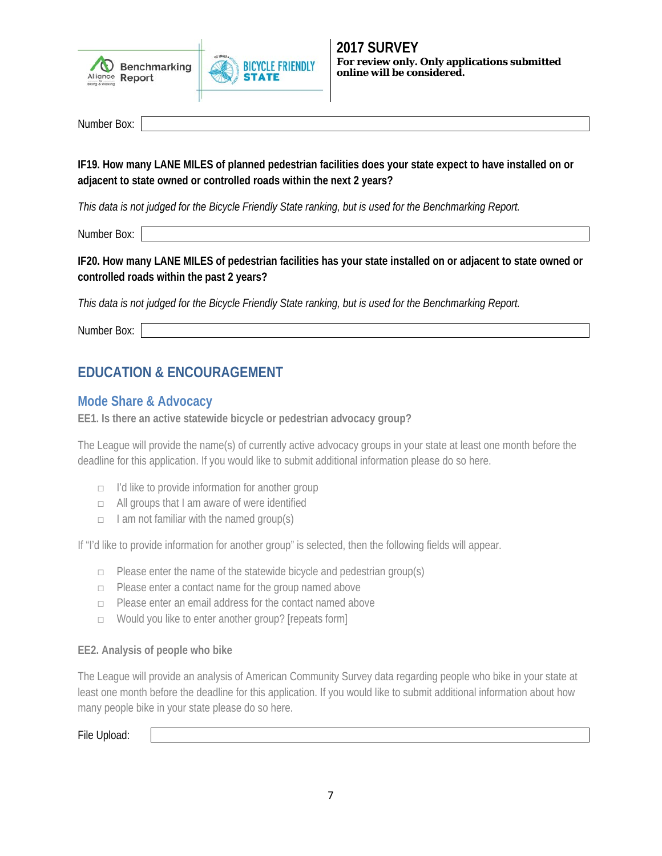



Number Box:

**IF19. How many LANE MILES of planned pedestrian facilities does your state expect to have installed on or adjacent to state owned or controlled roads within the next 2 years?**

*This data is not judged for the Bicycle Friendly State ranking, but is used for the Benchmarking Report.*

Number Box:

**IF20. How many LANE MILES of pedestrian facilities has your state installed on or adjacent to state owned or controlled roads within the past 2 years?**

*This data is not judged for the Bicycle Friendly State ranking, but is used for the Benchmarking Report.*

<span id="page-6-0"></span>Number Box:

# **EDUCATION & ENCOURAGEMENT**

### <span id="page-6-1"></span>**Mode Share & Advocacy**

**EE1. Is there an active statewide bicycle or pedestrian advocacy group?**

The League will provide the name(s) of currently active advocacy groups in your state at least one month before the deadline for this application. If you would like to submit additional information please do so here.

- $\Box$  I'd like to provide information for another group
- □ All groups that I am aware of were identified
- $\Box$  I am not familiar with the named group(s)

If "I'd like to provide information for another group" is selected, then the following fields will appear.

- $\Box$  Please enter the name of the statewide bicycle and pedestrian group(s)
- □ Please enter a contact name for the group named above
- □ Please enter an email address for the contact named above
- □ Would you like to enter another group? [repeats form]

#### **EE2. Analysis of people who bike**

The League will provide an analysis of American Community Survey data regarding people who bike in your state at least one month before the deadline for this application. If you would like to submit additional information about how many people bike in your state please do so here.

File Upload: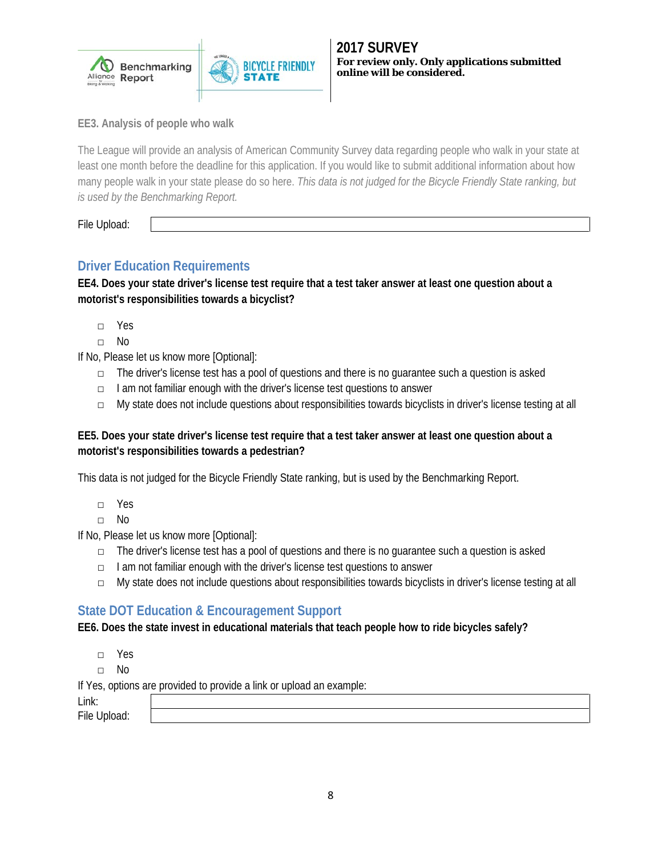

**EE3. Analysis of people who walk**

The League will provide an analysis of American Community Survey data regarding people who walk in your state at least one month before the deadline for this application. If you would like to submit additional information about how many people walk in your state please do so here. *This data is not judged for the Bicycle Friendly State ranking, but is used by the Benchmarking Report.*

**BICYCLE FRIENDLY** 

File Upload:

## <span id="page-7-0"></span>**Driver Education Requirements**

**EE4. Does your state driver's license test require that a test taker answer at least one question about a motorist's responsibilities towards a bicyclist?**

- □ Yes
- □ No

If No, Please let us know more [Optional]:

- $\Box$  The driver's license test has a pool of questions and there is no quarantee such a question is asked
- □ I am not familiar enough with the driver's license test questions to answer
- □ My state does not include questions about responsibilities towards bicyclists in driver's license testing at all

### **EE5. Does your state driver's license test require that a test taker answer at least one question about a motorist's responsibilities towards a pedestrian?**

This data is not judged for the Bicycle Friendly State ranking, but is used by the Benchmarking Report.

- □ Yes
- □ No

If No, Please let us know more [Optional]:

- $\Box$  The driver's license test has a pool of questions and there is no quarantee such a question is asked
- □ I am not familiar enough with the driver's license test questions to answer
- □ My state does not include questions about responsibilities towards bicyclists in driver's license testing at all

### <span id="page-7-1"></span>**State DOT Education & Encouragement Support**

**EE6. Does the state invest in educational materials that teach people how to ride bicycles safely?**

- □ Yes
- □ No

If Yes, options are provided to provide a link or upload an example:

Link:

File Upload: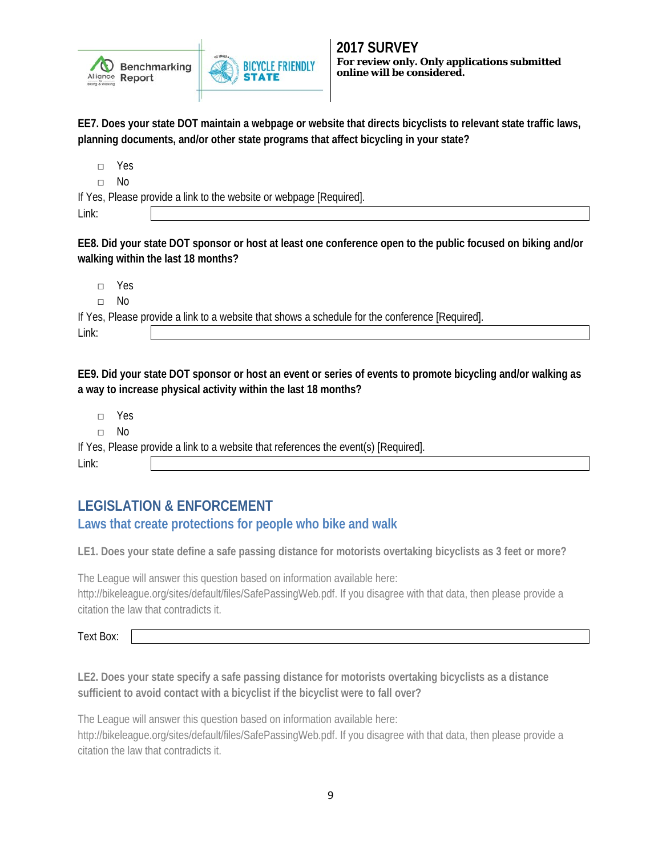

**2017 SURVEY For review only. Only applications submitted online will be considered.**

**EE7. Does your state DOT maintain a webpage or website that directs bicyclists to relevant state traffic laws, planning documents, and/or other state programs that affect bicycling in your state?**

□ Yes

□ No

If Yes, Please provide a link to the website or webpage [Required].

Link:

**EE8. Did your state DOT sponsor or host at least one conference open to the public focused on biking and/or walking within the last 18 months?**

□ Yes

□ No

If Yes, Please provide a link to a website that shows a schedule for the conference [Required]. Link:

**BICYCLE FRIENDLY** 

**EE9. Did your state DOT sponsor or host an event or series of events to promote bicycling and/or walking as a way to increase physical activity within the last 18 months?**

□ Yes

□ No

If Yes, Please provide a link to a website that references the event(s) [Required].

<span id="page-8-0"></span>Link:

# **LEGISLATION & ENFORCEMENT**

## **Laws that create protections for people who bike and walk**

**LE1. Does your state define a safe passing distance for motorists overtaking bicyclists as 3 feet or more?**

The League will answer this question based on information available here:

http://bikeleague.org/sites/default/files/SafePassingWeb.pdf. If you disagree with that data, then please provide a citation the law that contradicts it.

Text Box:

**LE2. Does your state specify a safe passing distance for motorists overtaking bicyclists as a distance sufficient to avoid contact with a bicyclist if the bicyclist were to fall over?**

The League will answer this question based on information available here: http://bikeleague.org/sites/default/files/SafePassingWeb.pdf. If you disagree with that data, then please provide a citation the law that contradicts it.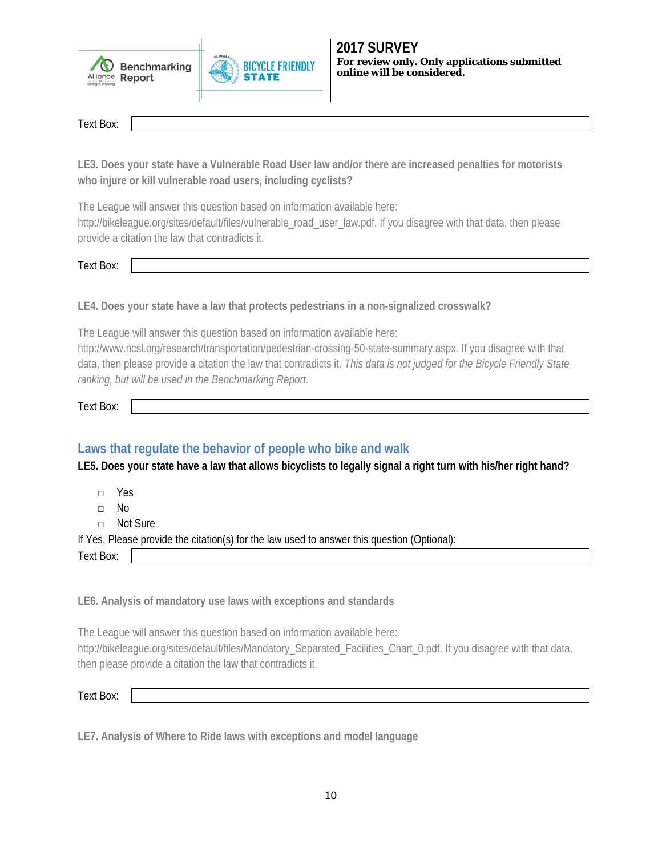



Text Box:

**LE3. Does your state have a Vulnerable Road User law and/or there are increased penalties for motorists who injure or kill vulnerable road users, including cyclists?**

The League will answer this question based on information available here:

http://bikeleague.org/sites/default/files/vulnerable\_road\_user\_law.pdf. If you disagree with that data, then please provide a citation the law that contradicts it.

Text Box:

**LE4. Does your state have a law that protects pedestrians in a non-signalized crosswalk?**

The League will answer this question based on information available here:

http://www.ncsl.org/research/transportation/pedestrian-crossing-50-state-summary.aspx. If you disagree with that data, then please provide a citation the law that contradicts it. *This data is not judged for the Bicycle Friendly State ranking, but will be used in the Benchmarking Report.*

Text Box:

## <span id="page-9-0"></span>**Laws that regulate the behavior of people who bike and walk**

**LE5. Does your state have a law that allows bicyclists to legally signal a right turn with his/her right hand?**

□ Yes

□ No

□ Not Sure

If Yes, Please provide the citation(s) for the law used to answer this question (Optional):

Text Box:

**LE6. Analysis of mandatory use laws with exceptions and standards**

The League will answer this question based on information available here: http://bikeleague.org/sites/default/files/Mandatory\_Separated\_Facilities\_Chart\_0.pdf. If you disagree with that data, then please provide a citation the law that contradicts it.

Text Box:

**LE7. Analysis of Where to Ride laws with exceptions and model language**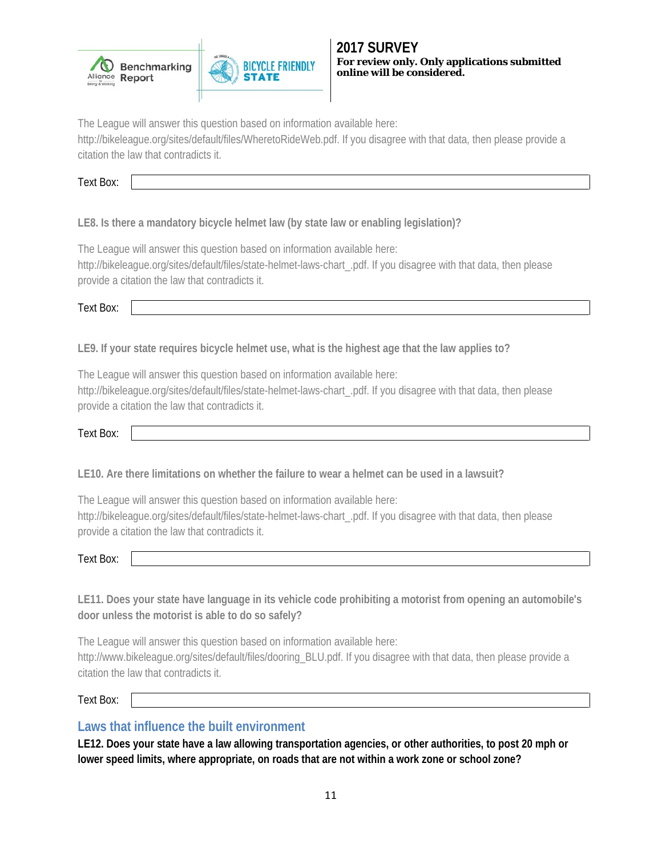



The League will answer this question based on information available here:

http://bikeleague.org/sites/default/files/WheretoRideWeb.pdf. If you disagree with that data, then please provide a citation the law that contradicts it.

Text Box:

**LE8. Is there a mandatory bicycle helmet law (by state law or enabling legislation)?**

The League will answer this question based on information available here:

http://bikeleague.org/sites/default/files/state-helmet-laws-chart\_.pdf. If you disagree with that data, then please provide a citation the law that contradicts it.

Text Box:

**LE9. If your state requires bicycle helmet use, what is the highest age that the law applies to?**

The League will answer this question based on information available here:

http://bikeleague.org/sites/default/files/state-helmet-laws-chart\_.pdf. If you disagree with that data, then please provide a citation the law that contradicts it.

Text Box:

**LE10. Are there limitations on whether the failure to wear a helmet can be used in a lawsuit?**

The League will answer this question based on information available here:

http://bikeleague.org/sites/default/files/state-helmet-laws-chart\_.pdf. If you disagree with that data, then please provide a citation the law that contradicts it.

Text Box:

**LE11. Does your state have language in its vehicle code prohibiting a motorist from opening an automobile's door unless the motorist is able to do so safely?**

The League will answer this question based on information available here: http://www.bikeleague.org/sites/default/files/dooring\_BLU.pdf. If you disagree with that data, then please provide a citation the law that contradicts it.

Text Box:

### <span id="page-10-0"></span>**Laws that influence the built environment**

**LE12. Does your state have a law allowing transportation agencies, or other authorities, to post 20 mph or lower speed limits, where appropriate, on roads that are not within a work zone or school zone?**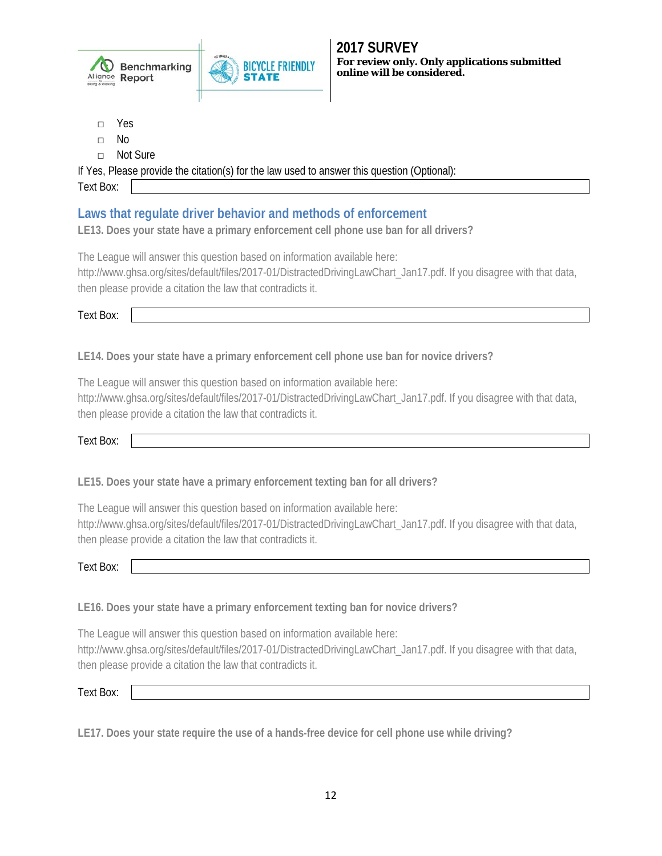

- □ Yes
- □ No
- □ Not Sure

If Yes, Please provide the citation(s) for the law used to answer this question (Optional):

Text Box:

# <span id="page-11-0"></span>**Laws that regulate driver behavior and methods of enforcement**

**LE13. Does your state have a primary enforcement cell phone use ban for all drivers?**

The League will answer this question based on information available here: http://www.ghsa.org/sites/default/files/2017-01/DistractedDrivingLawChart\_Jan17.pdf. If you disagree with that data, then please provide a citation the law that contradicts it.

Text Box:

**LE14. Does your state have a primary enforcement cell phone use ban for novice drivers?**

The League will answer this question based on information available here: http://www.ghsa.org/sites/default/files/2017-01/DistractedDrivingLawChart\_Jan17.pdf. If you disagree with that data, then please provide a citation the law that contradicts it.

Text Box:

**LE15. Does your state have a primary enforcement texting ban for all drivers?**

The League will answer this question based on information available here: http://www.ghsa.org/sites/default/files/2017-01/DistractedDrivingLawChart\_Jan17.pdf. If you disagree with that data, then please provide a citation the law that contradicts it.

Text Box:

**LE16. Does your state have a primary enforcement texting ban for novice drivers?**

The League will answer this question based on information available here: http://www.ghsa.org/sites/default/files/2017-01/DistractedDrivingLawChart\_Jan17.pdf. If you disagree with that data, then please provide a citation the law that contradicts it.

Text Box:

**LE17. Does your state require the use of a hands-free device for cell phone use while driving?**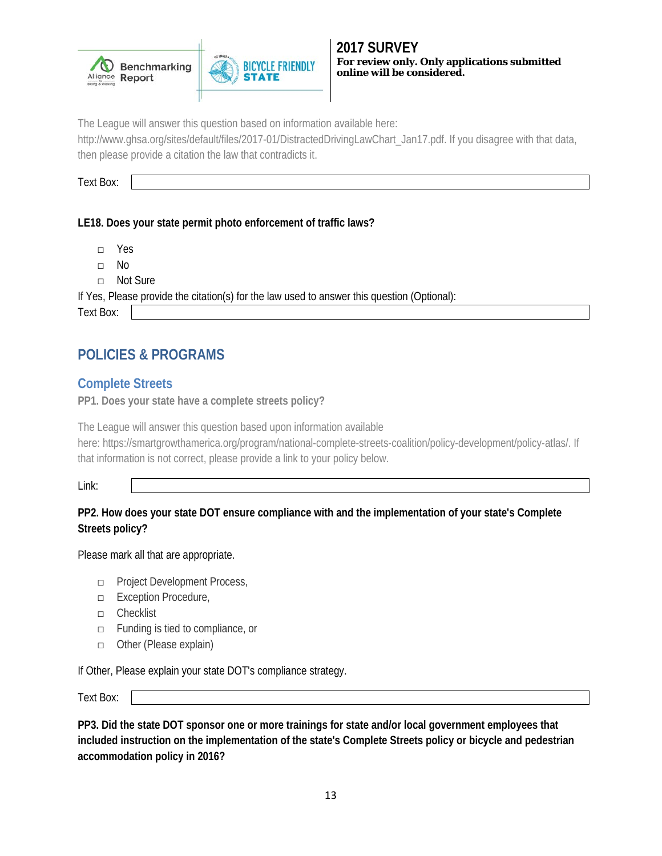



The League will answer this question based on information available here:

http://www.ghsa.org/sites/default/files/2017-01/DistractedDrivingLawChart\_Jan17.pdf. If you disagree with that data, then please provide a citation the law that contradicts it.

Text Box:

### **LE18. Does your state permit photo enforcement of traffic laws?**

- □ Yes
- □ No
- □ Not Sure

If Yes, Please provide the citation(s) for the law used to answer this question (Optional):

<span id="page-12-0"></span>Text Box:

# **POLICIES & PROGRAMS**

## <span id="page-12-1"></span>**Complete Streets**

**PP1. Does your state have a complete streets policy?**

The League will answer this question based upon information available here: https://smartgrowthamerica.org/program/national-complete-streets-coalition/policy-development/policy-atlas/. If that information is not correct, please provide a link to your policy below.

Link:

### **PP2. How does your state DOT ensure compliance with and the implementation of your state's Complete Streets policy?**

Please mark all that are appropriate.

- □ Project Development Process,
- □ Exception Procedure,
- □ Checklist
- □ Funding is tied to compliance, or
- □ Other (Please explain)

If Other, Please explain your state DOT's compliance strategy.

Text Box:

**PP3. Did the state DOT sponsor one or more trainings for state and/or local government employees that included instruction on the implementation of the state's Complete Streets policy or bicycle and pedestrian accommodation policy in 2016?**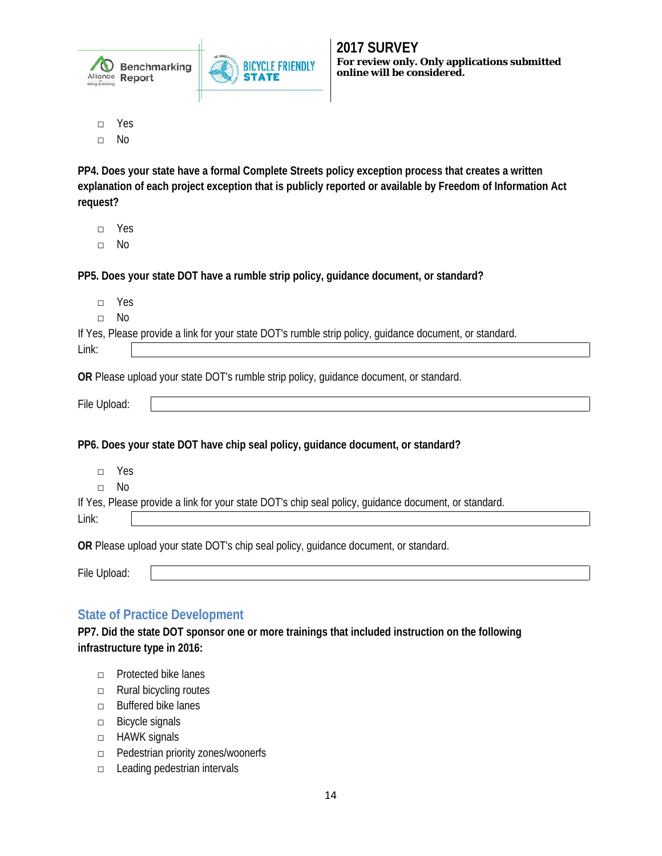

□ Yes

□ No

**PP4. Does your state have a formal Complete Streets policy exception process that creates a written explanation of each project exception that is publicly reported or available by Freedom of Information Act request?**

- □ Yes
- □ No

**PP5. Does your state DOT have a rumble strip policy, guidance document, or standard?**

**BICYCLE FRIENDLY** 

**STATE** 

| Yes<br>$\Box$ |                                                                                                         |
|---------------|---------------------------------------------------------------------------------------------------------|
| No<br>$\Box$  |                                                                                                         |
|               | If Yes, Please provide a link for your state DOT's rumble strip policy, guidance document, or standard. |
| Link:         |                                                                                                         |
|               | OR Please upload your state DOT's rumble strip policy, guidance document, or standard.                  |
|               |                                                                                                         |
| File Upload:  |                                                                                                         |
|               | PP6. Does your state DOT have chip seal policy, guidance document, or standard?                         |
| Yes<br>$\Box$ |                                                                                                         |
| No<br>$\Box$  |                                                                                                         |
|               | If Yes, Please provide a link for your state DOT's chip seal policy, guidance document, or standard.    |

File Upload:

## <span id="page-13-0"></span>**State of Practice Development**

**PP7. Did the state DOT sponsor one or more trainings that included instruction on the following infrastructure type in 2016:** 

- □ Protected bike lanes
- □ Rural bicycling routes
- □ Buffered bike lanes
- □ Bicycle signals
- □ HAWK signals
- □ Pedestrian priority zones/woonerfs
- □ Leading pedestrian intervals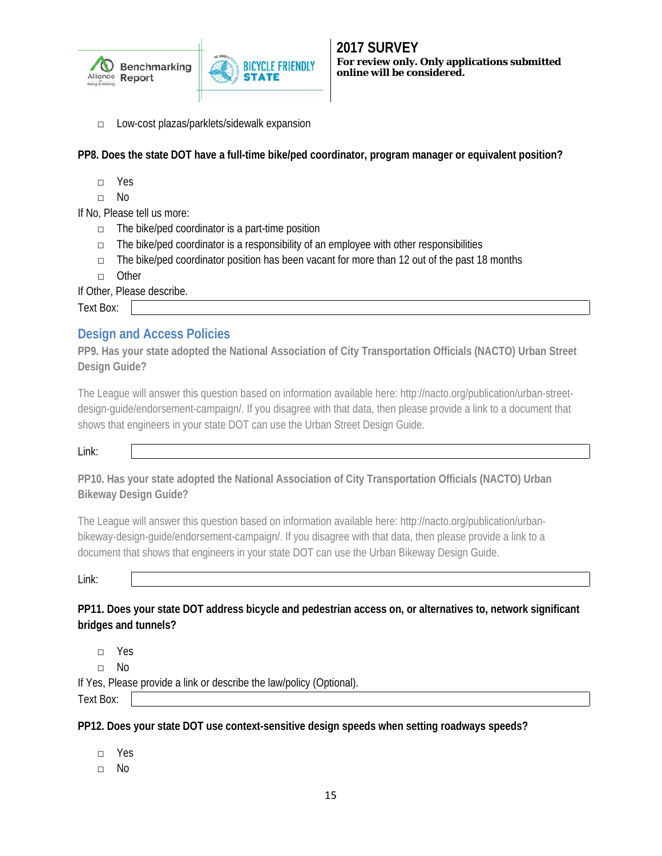



□ Low-cost plazas/parklets/sidewalk expansion

**PP8. Does the state DOT have a full-time bike/ped coordinator, program manager or equivalent position?**

- □ Yes
- □ No

If No, Please tell us more:

- $\Box$  The bike/ped coordinator is a part-time position
- $\Box$  The bike/ped coordinator is a responsibility of an employee with other responsibilities

**BICYCLE FRIENDLY** 

- $\Box$  The bike/ped coordinator position has been vacant for more than 12 out of the past 18 months
- □ Other

If Other, Please describe.

<span id="page-14-0"></span>Text Box:

### **Design and Access Policies**

**PP9. Has your state adopted the National Association of City Transportation Officials (NACTO) Urban Street Design Guide?**

The League will answer this question based on information available here: http://nacto.org/publication/urban-streetdesign-guide/endorsement-campaign/. If you disagree with that data, then please provide a link to a document that shows that engineers in your state DOT can use the Urban Street Design Guide.

Link:

**PP10. Has your state adopted the National Association of City Transportation Officials (NACTO) Urban Bikeway Design Guide?** 

The League will answer this question based on information available here: http://nacto.org/publication/urbanbikeway-design-guide/endorsement-campaign/. If you disagree with that data, then please provide a link to a document that shows that engineers in your state DOT can use the Urban Bikeway Design Guide.

Link:

**PP11. Does your state DOT address bicycle and pedestrian access on, or alternatives to, network significant bridges and tunnels?**

□ Yes

□ No

If Yes, Please provide a link or describe the law/policy (Optional).

Text Box:

**PP12. Does your state DOT use context-sensitive design speeds when setting roadways speeds?**

- □ Yes
- □ No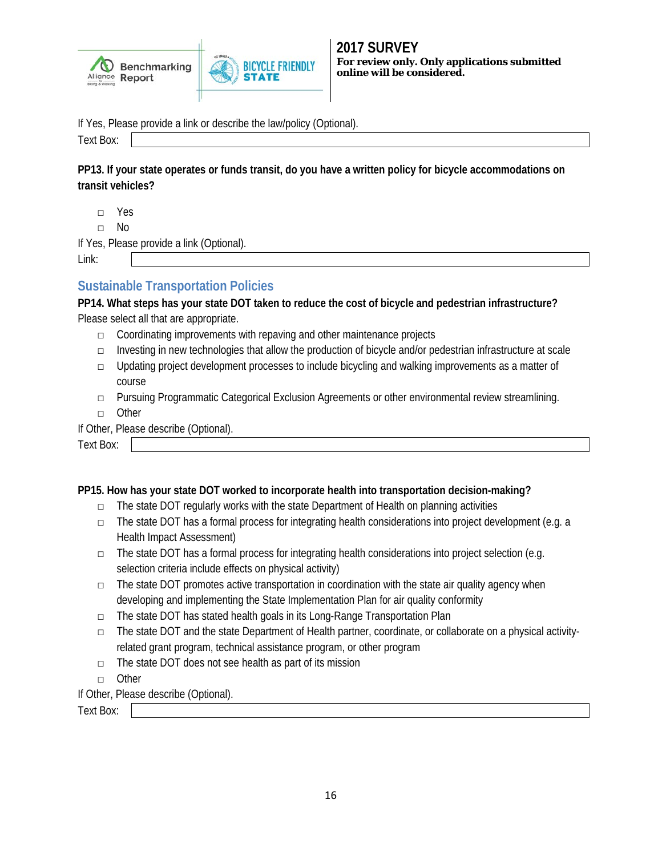



If Yes, Please provide a link or describe the law/policy (Optional).

Text Box:

**PP13. If your state operates or funds transit, do you have a written policy for bicycle accommodations on transit vehicles?**

□ Yes

□ No

If Yes, Please provide a link (Optional).

Link:

### <span id="page-15-0"></span>**Sustainable Transportation Policies**

**PP14. What steps has your state DOT taken to reduce the cost of bicycle and pedestrian infrastructure?** Please select all that are appropriate.

- □ Coordinating improvements with repaving and other maintenance projects
- □ Investing in new technologies that allow the production of bicycle and/or pedestrian infrastructure at scale
- $\Box$  Updating project development processes to include bicycling and walking improvements as a matter of course
- □ Pursuing Programmatic Categorical Exclusion Agreements or other environmental review streamlining.
- □ Other

#### If Other, Please describe (Optional).

Text Box:

### **PP15. How has your state DOT worked to incorporate health into transportation decision-making?**

- □ The state DOT regularly works with the state Department of Health on planning activities
- □ The state DOT has a formal process for integrating health considerations into project development (e.g. a Health Impact Assessment)
- □ The state DOT has a formal process for integrating health considerations into project selection (e.g. selection criteria include effects on physical activity)
- $\Box$  The state DOT promotes active transportation in coordination with the state air quality agency when developing and implementing the State Implementation Plan for air quality conformity
- □ The state DOT has stated health goals in its Long-Range Transportation Plan
- □ The state DOT and the state Department of Health partner, coordinate, or collaborate on a physical activityrelated grant program, technical assistance program, or other program
- □ The state DOT does not see health as part of its mission
- □ Other
- If Other, Please describe (Optional).

Text Box: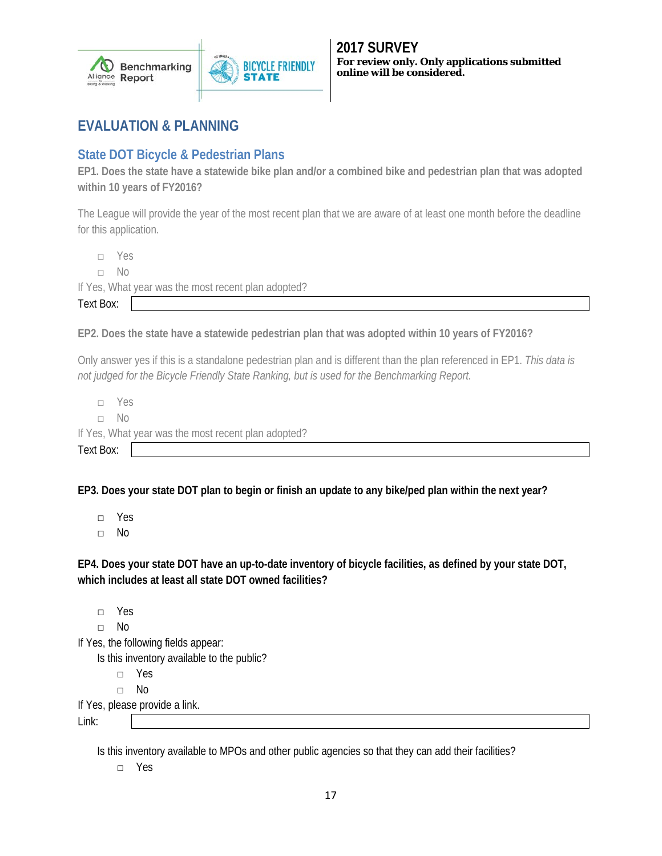

# <span id="page-16-0"></span>**EVALUATION & PLANNING**

# <span id="page-16-1"></span>**State DOT Bicycle & Pedestrian Plans**

**EP1. Does the state have a statewide bike plan and/or a combined bike and pedestrian plan that was adopted within 10 years of FY2016?** 

The League will provide the year of the most recent plan that we are aware of at least one month before the deadline for this application.

□ Yes

□ No

If Yes, What year was the most recent plan adopted?

Text Box:

**EP2. Does the state have a statewide pedestrian plan that was adopted within 10 years of FY2016?**

Only answer yes if this is a standalone pedestrian plan and is different than the plan referenced in EP1. *This data is not judged for the Bicycle Friendly State Ranking, but is used for the Benchmarking Report.*

□ Yes □ No If Yes, What year was the most recent plan adopted? Text Box:

**EP3. Does your state DOT plan to begin or finish an update to any bike/ped plan within the next year?**

□ Yes

□ No

**EP4. Does your state DOT have an up-to-date inventory of bicycle facilities, as defined by your state DOT, which includes at least all state DOT owned facilities?**

□ Yes □ No If Yes, the following fields appear: Is this inventory available to the public? □ Yes □ No If Yes, please provide a link.

Link:

Is this inventory available to MPOs and other public agencies so that they can add their facilities?

□ Yes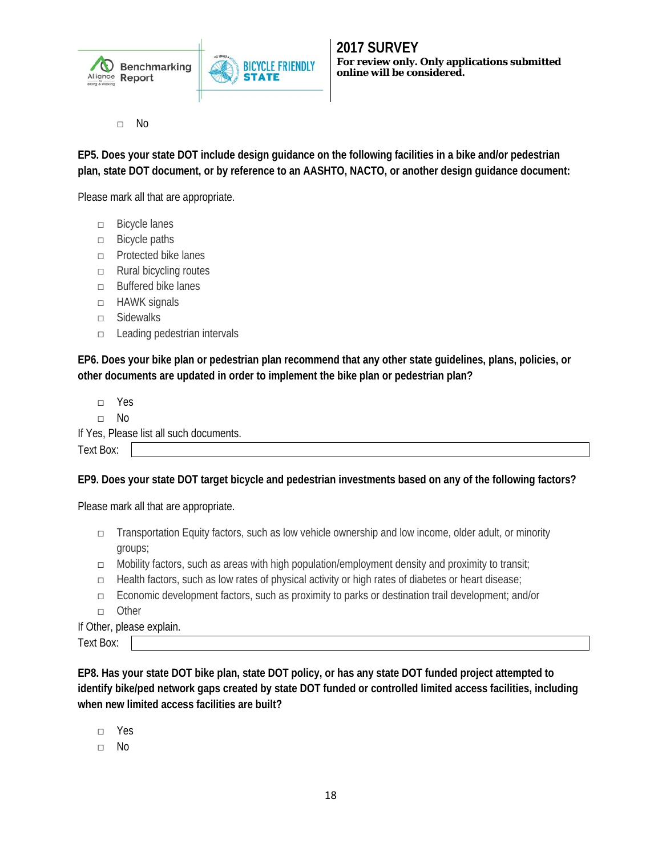

□ No

**EP5. Does your state DOT include design guidance on the following facilities in a bike and/or pedestrian plan, state DOT document, or by reference to an AASHTO, NACTO, or another design guidance document:** 

**BICYCLE FRIENDLY** 

Please mark all that are appropriate.

- □ Bicycle lanes
- □ Bicycle paths
- □ Protected bike lanes
- □ Rural bicycling routes
- □ Buffered bike lanes
- □ HAWK signals
- □ Sidewalks
- □ Leading pedestrian intervals

**EP6. Does your bike plan or pedestrian plan recommend that any other state guidelines, plans, policies, or other documents are updated in order to implement the bike plan or pedestrian plan?**

- □ Yes
- □ No

|           | If Yes, Please list all such documents. |
|-----------|-----------------------------------------|
| Text Box: |                                         |

### **EP9. Does your state DOT target bicycle and pedestrian investments based on any of the following factors?**

Please mark all that are appropriate.

- □ Transportation Equity factors, such as low vehicle ownership and low income, older adult, or minority groups;
- □ Mobility factors, such as areas with high population/employment density and proximity to transit;
- □ Health factors, such as low rates of physical activity or high rates of diabetes or heart disease;
- □ Economic development factors, such as proximity to parks or destination trail development; and/or
- □ Other

If Other, please explain.

Text Box:

**EP8. Has your state DOT bike plan, state DOT policy, or has any state DOT funded project attempted to identify bike/ped network gaps created by state DOT funded or controlled limited access facilities, including when new limited access facilities are built?**

- □ Yes
- □ No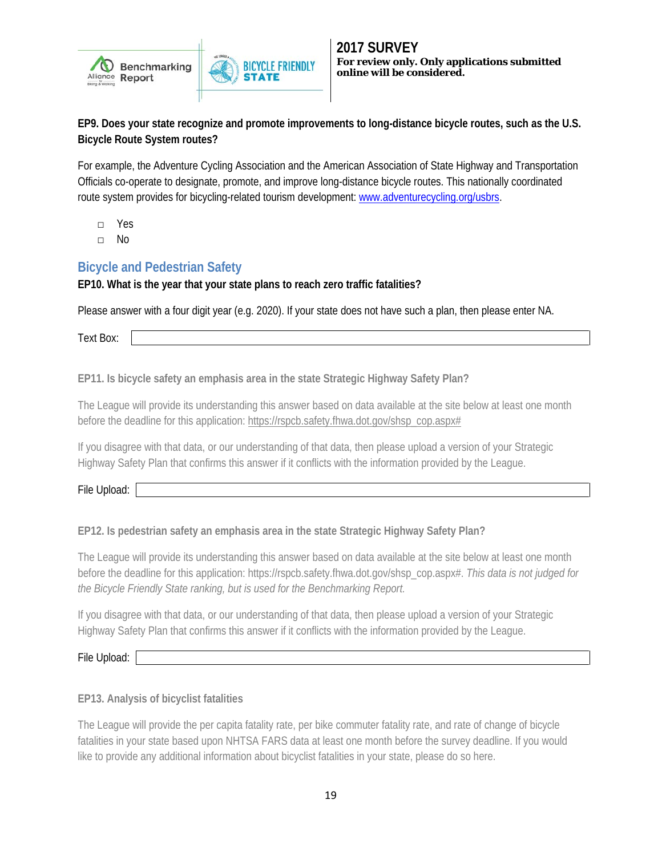



**EP9. Does your state recognize and promote improvements to long-distance bicycle routes, such as the U.S. Bicycle Route System routes?**

For example, the Adventure Cycling Association and the American Association of State Highway and Transportation Officials co-operate to designate, promote, and improve long-distance bicycle routes. This nationally coordinated route system provides for bicycling-related tourism development: [www.adventurecycling.org/usbrs.](http://www.adventurecycling.org/usbrs)

- □ Yes
- □ No

## <span id="page-18-0"></span>**Bicycle and Pedestrian Safety**

### **EP10. What is the year that your state plans to reach zero traffic fatalities?**

Please answer with a four digit year (e.g. 2020). If your state does not have such a plan, then please enter NA.

Text Box:

**EP11. Is bicycle safety an emphasis area in the state Strategic Highway Safety Plan?**

The League will provide its understanding this answer based on data available at the site below at least one month before the deadline for this application: [https://rspcb.safety.fhwa.dot.gov/shsp\\_cop.aspx#](https://rspcb.safety.fhwa.dot.gov/shsp_cop.aspx)

If you disagree with that data, or our understanding of that data, then please upload a version of your Strategic Highway Safety Plan that confirms this answer if it conflicts with the information provided by the League.

File Upload:

### **EP12. Is pedestrian safety an emphasis area in the state Strategic Highway Safety Plan?**

The League will provide its understanding this answer based on data available at the site below at least one month before the deadline for this application: https://rspcb.safety.fhwa.dot.gov/shsp\_cop.aspx#. *This data is not judged for the Bicycle Friendly State ranking, but is used for the Benchmarking Report.*

If you disagree with that data, or our understanding of that data, then please upload a version of your Strategic Highway Safety Plan that confirms this answer if it conflicts with the information provided by the League.

File Upload:

**EP13. Analysis of bicyclist fatalities**

The League will provide the per capita fatality rate, per bike commuter fatality rate, and rate of change of bicycle fatalities in your state based upon NHTSA FARS data at least one month before the survey deadline. If you would like to provide any additional information about bicyclist fatalities in your state, please do so here.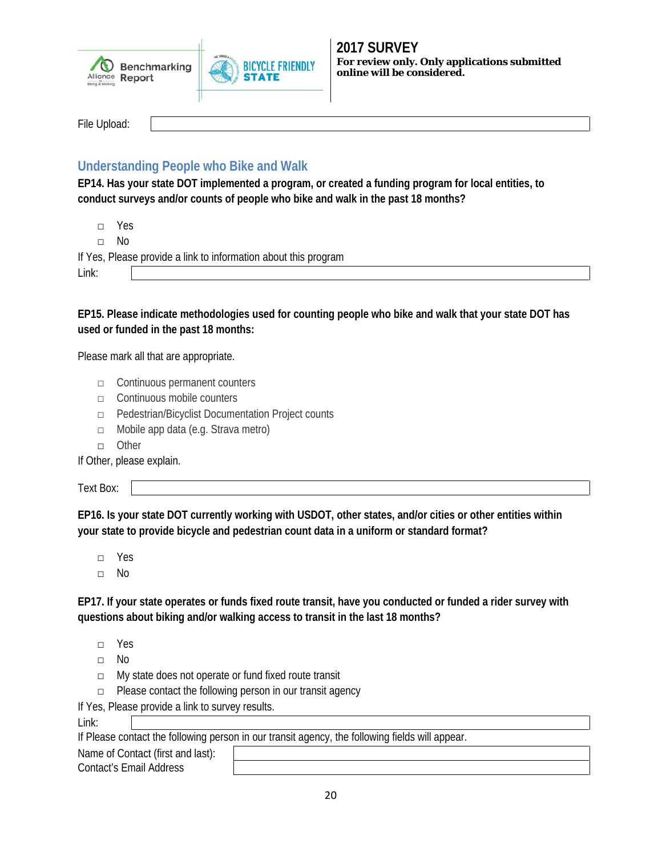



File Upload:

# <span id="page-19-0"></span>**Understanding People who Bike and Walk**

**EP14. Has your state DOT implemented a program, or created a funding program for local entities, to conduct surveys and/or counts of people who bike and walk in the past 18 months?**

□ Yes

□ No

If Yes, Please provide a link to information about this program

Link:

**EP15. Please indicate methodologies used for counting people who bike and walk that your state DOT has used or funded in the past 18 months:**

Please mark all that are appropriate.

- □ Continuous permanent counters
- □ Continuous mobile counters
- □ Pedestrian/Bicyclist Documentation Project counts
- □ Mobile app data (e.g. Strava metro)
- □ Other

If Other, please explain.

Text Box:

**EP16. Is your state DOT currently working with USDOT, other states, and/or cities or other entities within your state to provide bicycle and pedestrian count data in a uniform or standard format?**

□ Yes

□ No

**EP17. If your state operates or funds fixed route transit, have you conducted or funded a rider survey with questions about biking and/or walking access to transit in the last 18 months?**

- □ Yes
- □ No
- □ My state does not operate or fund fixed route transit
- □ Please contact the following person in our transit agency

If Yes, Please provide a link to survey results.

If Please contact the following person in our transit agency, the following fields will appear.

Name of Contact (first and last): Contact's Email Address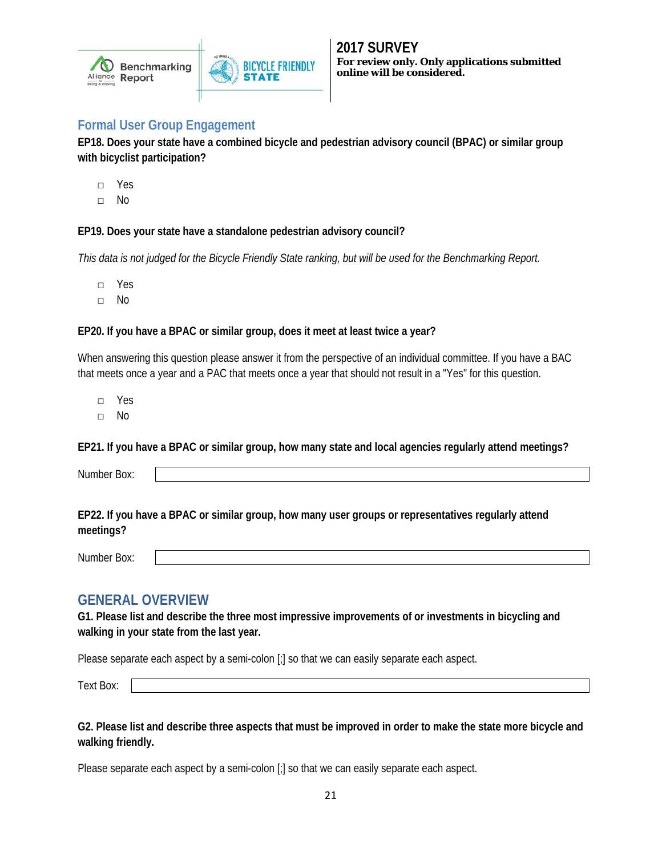

### <span id="page-20-0"></span>**Formal User Group Engagement**

**EP18. Does your state have a combined bicycle and pedestrian advisory council (BPAC) or similar group with bicyclist participation?**

**BICYCLE FRIENDLY** 

- □ Yes
- □ No

### **EP19. Does your state have a standalone pedestrian advisory council?**

*This data is not judged for the Bicycle Friendly State ranking, but will be used for the Benchmarking Report.*

- □ Yes
- □ No

#### **EP20. If you have a BPAC or similar group, does it meet at least twice a year?**

When answering this question please answer it from the perspective of an individual committee. If you have a BAC that meets once a year and a PAC that meets once a year that should not result in a "Yes" for this question.

- □ Yes
- □ No

**EP21. If you have a BPAC or similar group, how many state and local agencies regularly attend meetings?**

Number Box:

**EP22. If you have a BPAC or similar group, how many user groups or representatives regularly attend meetings?**

<span id="page-20-1"></span>Number Box:

### **GENERAL OVERVIEW**

**G1. Please list and describe the three most impressive improvements of or investments in bicycling and walking in your state from the last year.**

Please separate each aspect by a semi-colon [;] so that we can easily separate each aspect.

Text Box:

**G2. Please list and describe three aspects that must be improved in order to make the state more bicycle and walking friendly.**

Please separate each aspect by a semi-colon [;] so that we can easily separate each aspect.